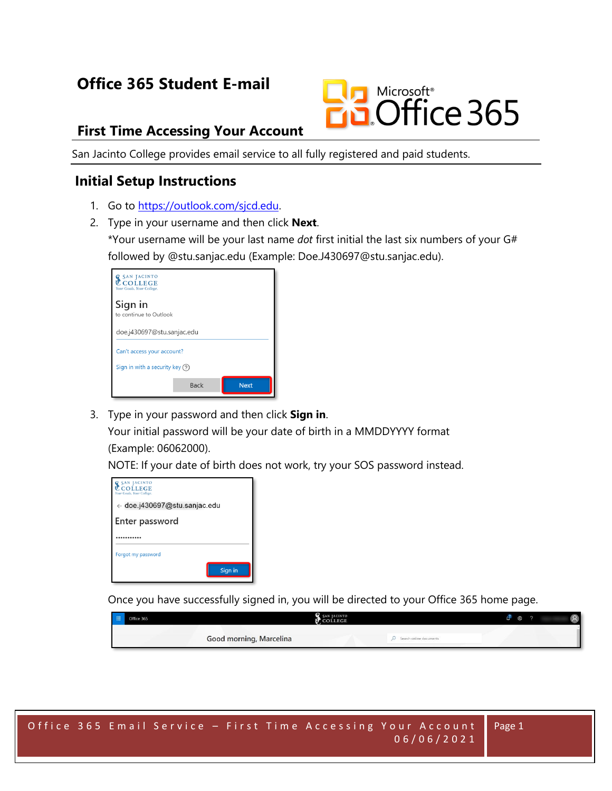# **Office 365 Student E-mail**



#### **First Time Accessing Your Account**

San Jacinto College provides email service to all fully registered and paid students.

#### **Initial Setup Instructions**

- 1. Go to [https://outlook.com/sjcd.edu.](https://outlook.com/sjcd.edu)
- 2. Type in your username and then click **Next**. \*Your username will be your last name *dot* first initial the last six numbers of your G# followed by @stu.sanjac.edu (Example: Doe.J430697@stu.sanjac.edu).

| <b>G</b> SAN JA<br><b>CINTO</b><br>COLLEGE<br>Your Goals. Your College. |             |             |  |  |  |  |  |  |
|-------------------------------------------------------------------------|-------------|-------------|--|--|--|--|--|--|
| Sign in<br>to continue to Outlook                                       |             |             |  |  |  |  |  |  |
| doe.j430697@stu.sanjac.edu                                              |             |             |  |  |  |  |  |  |
| Can't access your account?                                              |             |             |  |  |  |  |  |  |
| Sign in with a security key $(2)$                                       |             |             |  |  |  |  |  |  |
|                                                                         | <b>Back</b> | <b>Next</b> |  |  |  |  |  |  |

3. Type in your password and then click **Sign in**. Your initial password will be your date of birth in a MMDDYYYY format

(Example: 06062000).

NOTE: If your date of birth does not work, try your SOS password instead.

| <b>SAN JACINTO</b><br><b>COLLEGE</b><br>Your Goals, Your College, |  |  |  |  |  |  |
|-------------------------------------------------------------------|--|--|--|--|--|--|
| $\leftarrow$ doe.j430697@stu.sanjac.edu                           |  |  |  |  |  |  |
| Enter password                                                    |  |  |  |  |  |  |
|                                                                   |  |  |  |  |  |  |
| Forgot my password                                                |  |  |  |  |  |  |
| Sign in                                                           |  |  |  |  |  |  |

Once you have successfully signed in, you will be directed to your Office 365 home page.

| Ei Office 365           | SAN JACINTO                 |  |  |  |
|-------------------------|-----------------------------|--|--|--|
| Good morning, Marcelina | $O$ Search online documents |  |  |  |